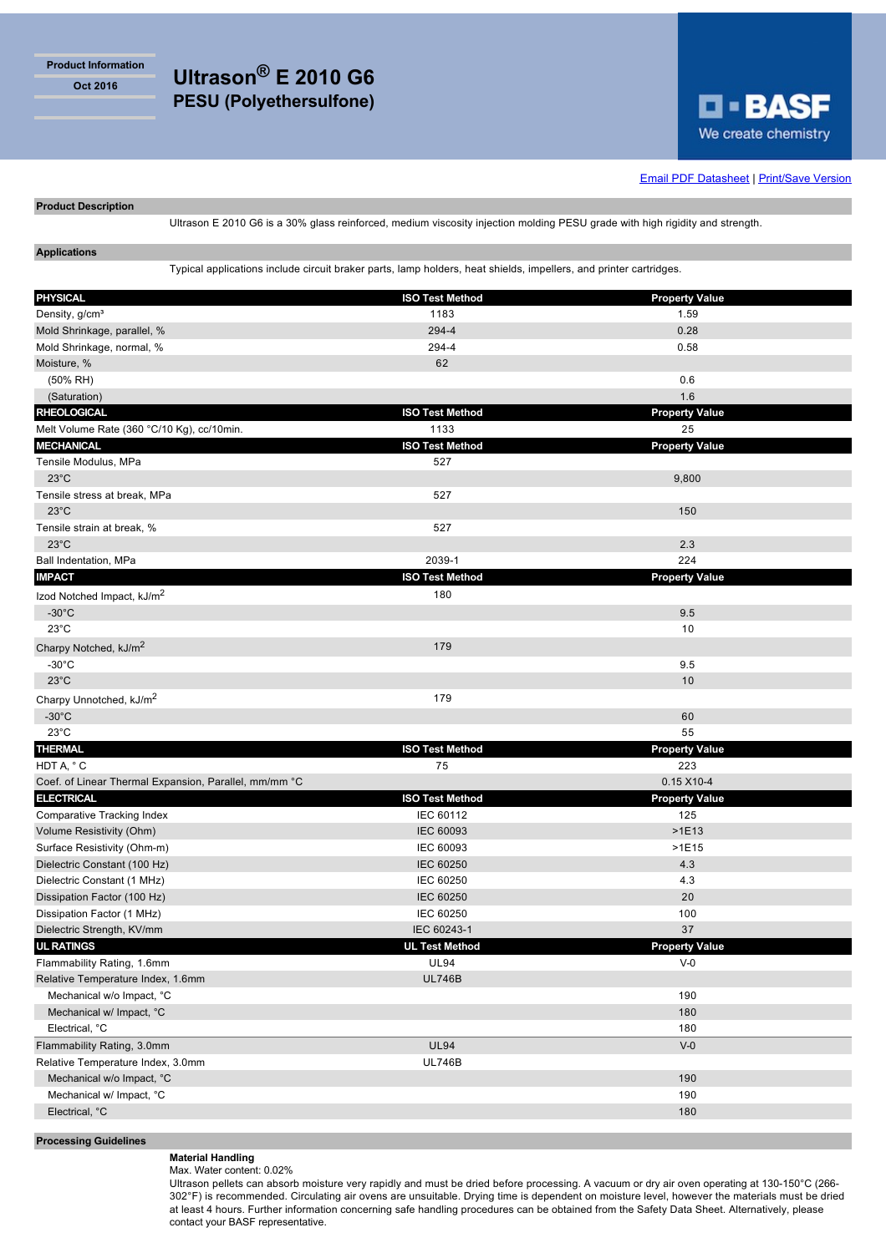**Product Information**



**Email PDF Datasheet | Print/Save Version** 

## **Product Description**

Ultrason E 2010 G6 is a 30% glass reinforced, medium viscosity injection molding PESU grade with high rigidity and strength.

# **Applications**

Typical applications include circuit braker parts, lamp holders, heat shields, impellers, and printer cartridges.

| <b>PHYSICAL</b>                                       | <b>ISO Test Method</b> | <b>Property Value</b> |
|-------------------------------------------------------|------------------------|-----------------------|
| Density, g/cm <sup>3</sup>                            | 1183                   | 1.59                  |
| Mold Shrinkage, parallel, %                           | 294-4                  | 0.28                  |
| Mold Shrinkage, normal, %                             | 294-4                  | 0.58                  |
| Moisture, %                                           | 62                     |                       |
| (50% RH)                                              |                        | 0.6                   |
| (Saturation)                                          |                        | 1.6                   |
| <b>RHEOLOGICAL</b>                                    | <b>ISO Test Method</b> | <b>Property Value</b> |
| Melt Volume Rate (360 °C/10 Kg), cc/10min.            | 1133                   | 25                    |
| <b>MECHANICAL</b>                                     | <b>ISO Test Method</b> | <b>Property Value</b> |
| Tensile Modulus, MPa                                  | 527                    |                       |
| $23^{\circ}$ C                                        |                        | 9,800                 |
| Tensile stress at break, MPa                          | 527                    |                       |
| $23^{\circ}$ C                                        |                        | 150                   |
| Tensile strain at break, %                            | 527                    |                       |
| $23^{\circ}$ C                                        |                        | 2.3                   |
| Ball Indentation, MPa                                 | 2039-1                 | 224                   |
| <b>IMPACT</b>                                         | <b>ISO Test Method</b> | <b>Property Value</b> |
| Izod Notched Impact, kJ/m <sup>2</sup>                | 180                    |                       |
| $-30^{\circ}$ C                                       |                        | 9.5                   |
| $23^{\circ}$ C                                        |                        | 10                    |
| Charpy Notched, kJ/m <sup>2</sup>                     | 179                    |                       |
| $-30^{\circ}$ C                                       |                        | 9.5                   |
| $23^{\circ}$ C                                        |                        | 10                    |
| Charpy Unnotched, kJ/m <sup>2</sup>                   | 179                    |                       |
| $-30^{\circ}$ C                                       |                        | 60                    |
| $23^{\circ}$ C                                        |                        | 55                    |
| <b>THERMAL</b>                                        | <b>ISO Test Method</b> | <b>Property Value</b> |
| HDT A, °C                                             | 75                     | 223                   |
| Coef. of Linear Thermal Expansion, Parallel, mm/mm °C |                        | $0.15$ X10-4          |
| <b>ELECTRICAL</b>                                     | <b>ISO Test Method</b> | <b>Property Value</b> |
| Comparative Tracking Index                            | IEC 60112              | 125                   |
| Volume Resistivity (Ohm)                              | <b>IEC 60093</b>       | $>1E13$               |
| Surface Resistivity (Ohm-m)                           | IEC 60093              | $>1E15$               |
| Dielectric Constant (100 Hz)                          | <b>IEC 60250</b>       | 4.3                   |
| Dielectric Constant (1 MHz)                           | IEC 60250              | 4.3                   |
| Dissipation Factor (100 Hz)                           | <b>IEC 60250</b>       | 20                    |
| Dissipation Factor (1 MHz)                            | IEC 60250              | 100                   |
| Dielectric Strength, KV/mm                            | IEC 60243-1            | 37                    |
| <b>UL RATINGS</b>                                     | UL Test Method         | Property Value        |
| Flammability Rating, 1.6mm                            | <b>UL94</b>            | $V-0$                 |
| Relative Temperature Index, 1.6mm                     | <b>UL746B</b>          |                       |
| Mechanical w/o Impact, °C                             |                        | 190                   |
| Mechanical w/ Impact, °C                              |                        | 180                   |
| Electrical, °C                                        |                        | 180                   |
| Flammability Rating, 3.0mm                            | <b>UL94</b>            | $V-0$                 |
| Relative Temperature Index, 3.0mm                     | <b>UL746B</b>          |                       |
| Mechanical w/o Impact, °C                             |                        | 190                   |
| Mechanical w/ Impact, °C                              |                        | 190                   |
| Electrical, °C                                        |                        | 180                   |
|                                                       |                        |                       |

## **Processing Guidelines**

**Material Handling** Max. Water content: 0.02%

Ultrason pellets can absorb moisture very rapidly and must be dried before processing. A vacuum or dry air oven operating at 130-150°C (266- 302°F) is recommended. Circulating air ovens are unsuitable. Drying time is dependent on moisture level, however the materials must be dried at least 4 hours. Further information concerning safe handling procedures can be obtained from the Safety Data Sheet. Alternatively, please contact your BASF representative.